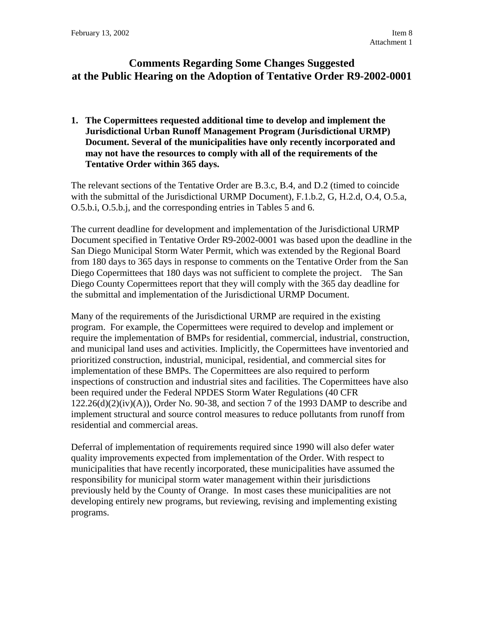# **Comments Regarding Some Changes Suggested at the Public Hearing on the Adoption of Tentative Order R9-2002-0001**

**1. The Copermittees requested additional time to develop and implement the Jurisdictional Urban Runoff Management Program (Jurisdictional URMP) Document. Several of the municipalities have only recently incorporated and may not have the resources to comply with all of the requirements of the Tentative Order within 365 days.** 

The relevant sections of the Tentative Order are B.3.c, B.4, and D.2 (timed to coincide with the submittal of the Jurisdictional URMP Document), F.1.b.2, G, H.2.d, O.4, O.5.a, O.5.b.i, O.5.b.j, and the corresponding entries in Tables 5 and 6.

The current deadline for development and implementation of the Jurisdictional URMP Document specified in Tentative Order R9-2002-0001 was based upon the deadline in the San Diego Municipal Storm Water Permit, which was extended by the Regional Board from 180 days to 365 days in response to comments on the Tentative Order from the San Diego Copermittees that 180 days was not sufficient to complete the project. The San Diego County Copermittees report that they will comply with the 365 day deadline for the submittal and implementation of the Jurisdictional URMP Document.

Many of the requirements of the Jurisdictional URMP are required in the existing program. For example, the Copermittees were required to develop and implement or require the implementation of BMPs for residential, commercial, industrial, construction, and municipal land uses and activities. Implicitly, the Copermittees have inventoried and prioritized construction, industrial, municipal, residential, and commercial sites for implementation of these BMPs. The Copermittees are also required to perform inspections of construction and industrial sites and facilities. The Copermittees have also been required under the Federal NPDES Storm Water Regulations (40 CFR  $122.26(d)(2)(iv)(A)$ , Order No. 90-38, and section 7 of the 1993 DAMP to describe and implement structural and source control measures to reduce pollutants from runoff from residential and commercial areas.

Deferral of implementation of requirements required since 1990 will also defer water quality improvements expected from implementation of the Order. With respect to municipalities that have recently incorporated, these municipalities have assumed the responsibility for municipal storm water management within their jurisdictions previously held by the County of Orange. In most cases these municipalities are not developing entirely new programs, but reviewing, revising and implementing existing programs.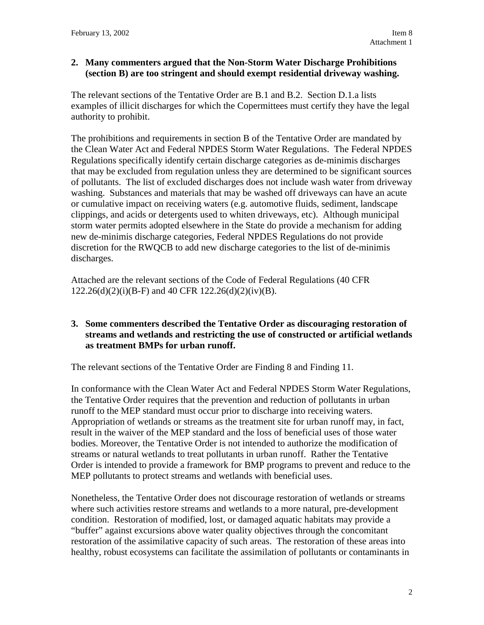### **2. Many commenters argued that the Non-Storm Water Discharge Prohibitions (section B) are too stringent and should exempt residential driveway washing.**

The relevant sections of the Tentative Order are B.1 and B.2. Section D.1.a lists examples of illicit discharges for which the Copermittees must certify they have the legal authority to prohibit.

The prohibitions and requirements in section B of the Tentative Order are mandated by the Clean Water Act and Federal NPDES Storm Water Regulations. The Federal NPDES Regulations specifically identify certain discharge categories as de-minimis discharges that may be excluded from regulation unless they are determined to be significant sources of pollutants. The list of excluded discharges does not include wash water from driveway washing. Substances and materials that may be washed off driveways can have an acute or cumulative impact on receiving waters (e.g. automotive fluids, sediment, landscape clippings, and acids or detergents used to whiten driveways, etc). Although municipal storm water permits adopted elsewhere in the State do provide a mechanism for adding new de-minimis discharge categories, Federal NPDES Regulations do not provide discretion for the RWQCB to add new discharge categories to the list of de-minimis discharges.

Attached are the relevant sections of the Code of Federal Regulations (40 CFR  $122.26(d)(2)(i)(B-F)$  and 40 CFR  $122.26(d)(2)(iv)(B)$ .

## **3. Some commenters described the Tentative Order as discouraging restoration of streams and wetlands and restricting the use of constructed or artificial wetlands as treatment BMPs for urban runoff.**

The relevant sections of the Tentative Order are Finding 8 and Finding 11.

In conformance with the Clean Water Act and Federal NPDES Storm Water Regulations, the Tentative Order requires that the prevention and reduction of pollutants in urban runoff to the MEP standard must occur prior to discharge into receiving waters. Appropriation of wetlands or streams as the treatment site for urban runoff may, in fact, result in the waiver of the MEP standard and the loss of beneficial uses of those water bodies. Moreover, the Tentative Order is not intended to authorize the modification of streams or natural wetlands to treat pollutants in urban runoff. Rather the Tentative Order is intended to provide a framework for BMP programs to prevent and reduce to the MEP pollutants to protect streams and wetlands with beneficial uses.

Nonetheless, the Tentative Order does not discourage restoration of wetlands or streams where such activities restore streams and wetlands to a more natural, pre-development condition. Restoration of modified, lost, or damaged aquatic habitats may provide a "buffer" against excursions above water quality objectives through the concomitant restoration of the assimilative capacity of such areas. The restoration of these areas into healthy, robust ecosystems can facilitate the assimilation of pollutants or contaminants in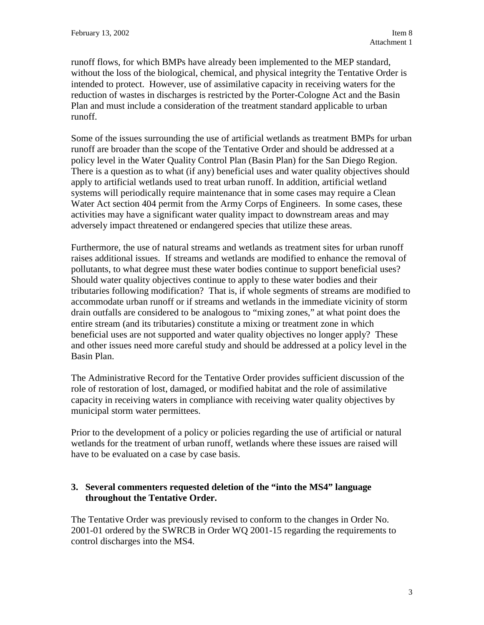runoff flows, for which BMPs have already been implemented to the MEP standard, without the loss of the biological, chemical, and physical integrity the Tentative Order is intended to protect. However, use of assimilative capacity in receiving waters for the reduction of wastes in discharges is restricted by the Porter-Cologne Act and the Basin Plan and must include a consideration of the treatment standard applicable to urban runoff.

Some of the issues surrounding the use of artificial wetlands as treatment BMPs for urban runoff are broader than the scope of the Tentative Order and should be addressed at a policy level in the Water Quality Control Plan (Basin Plan) for the San Diego Region. There is a question as to what (if any) beneficial uses and water quality objectives should apply to artificial wetlands used to treat urban runoff. In addition, artificial wetland systems will periodically require maintenance that in some cases may require a Clean Water Act section 404 permit from the Army Corps of Engineers. In some cases, these activities may have a significant water quality impact to downstream areas and may adversely impact threatened or endangered species that utilize these areas.

Furthermore, the use of natural streams and wetlands as treatment sites for urban runoff raises additional issues. If streams and wetlands are modified to enhance the removal of pollutants, to what degree must these water bodies continue to support beneficial uses? Should water quality objectives continue to apply to these water bodies and their tributaries following modification? That is, if whole segments of streams are modified to accommodate urban runoff or if streams and wetlands in the immediate vicinity of storm drain outfalls are considered to be analogous to "mixing zones," at what point does the entire stream (and its tributaries) constitute a mixing or treatment zone in which beneficial uses are not supported and water quality objectives no longer apply? These and other issues need more careful study and should be addressed at a policy level in the Basin Plan.

The Administrative Record for the Tentative Order provides sufficient discussion of the role of restoration of lost, damaged, or modified habitat and the role of assimilative capacity in receiving waters in compliance with receiving water quality objectives by municipal storm water permittees.

Prior to the development of a policy or policies regarding the use of artificial or natural wetlands for the treatment of urban runoff, wetlands where these issues are raised will have to be evaluated on a case by case basis.

## **3. Several commenters requested deletion of the "into the MS4" language throughout the Tentative Order.**

The Tentative Order was previously revised to conform to the changes in Order No. 2001-01 ordered by the SWRCB in Order WQ 2001-15 regarding the requirements to control discharges into the MS4.